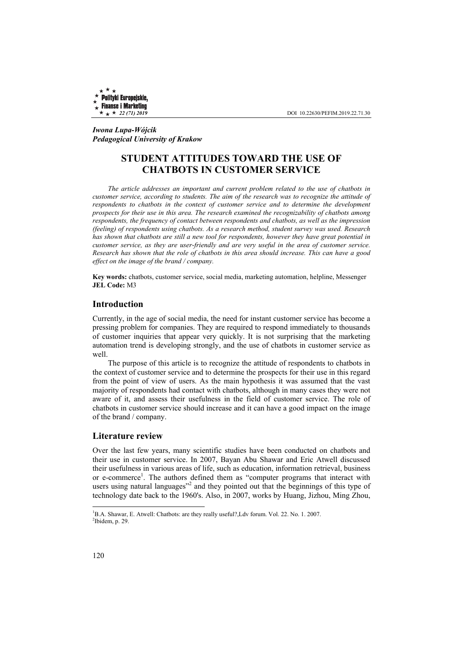Polityki Europejskie, **Finanse i Marketing** 

 $\star \star 22$  (71) 2019 **DOI** 10.22630/PEFIM.2019.22.71.30

*Iwona Lupa-Wójcik Pedagogical University of Krakow*

# **STUDENT ATTITUDES TOWARD THE USE OF CHATBOTS IN CUSTOMER SERVICE**

*The article addresses an important and current problem related to the use of chatbots in customer service, according to students. The aim of the research was to recognize the attitude of*  respondents to chatbots in the context of customer service and to determine the development *prospects for their use in this area. The research examined the recognizability of chatbots among respondents, the frequency of contact between respondents and chatbots, as well as the impression (feeling) of respondents using chatbots. As a research method, student survey was used. Research has shown that chatbots are still a new tool for respondents, however they have great potential in customer service, as they are user-friendly and are very useful in the area of customer service. Research has shown that the role of chatbots in this area should increase. This can have a good effect on the image of the brand / company.* 

**Key words:** chatbots, customer service, social media, marketing automation, helpline, Messenger **JEL Code:** M3

#### **Introduction**

Currently, in the age of social media, the need for instant customer service has become a pressing problem for companies. They are required to respond immediately to thousands of customer inquiries that appear very quickly. It is not surprising that the marketing automation trend is developing strongly, and the use of chatbots in customer service as well.

The purpose of this article is to recognize the attitude of respondents to chatbots in the context of customer service and to determine the prospects for their use in this regard from the point of view of users. As the main hypothesis it was assumed that the vast majority of respondents had contact with chatbots, although in many cases they were not aware of it, and assess their usefulness in the field of customer service. The role of chatbots in customer service should increase and it can have a good impact on the image of the brand / company.

#### **Literature review**

Over the last few years, many scientific studies have been conducted on chatbots and their use in customer service. In 2007, Bayan Abu Shawar and Eric Atwell discussed their usefulness in various areas of life, such as education, information retrieval, business or e-commerce<sup>1</sup>. The authors defined them as "computer programs that interact with users using natural languages"<sup>2</sup> and they pointed out that the beginnings of this type of technology date back to the 1960's. Also, in 2007, works by Huang, Jizhou, Ming Zhou,

<sup>&</sup>lt;sup>1</sup>B.A. Shawar, E. Atwell: Chatbots: are they really useful?, Ldv forum. Vol. 22. No. 1. 2007.  $2$ Ibidem, p. 29.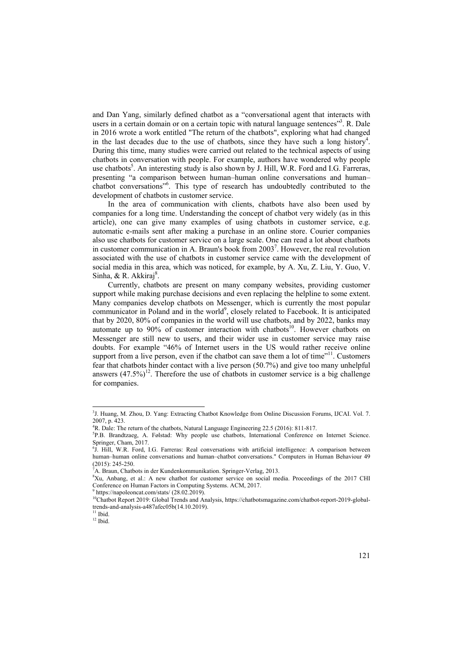and Dan Yang, similarly defined chatbot as a "conversational agent that interacts with users in a certain domain or on a certain topic with natural language sentences"<sup>3</sup>. R. Dale in 2016 wrote a work entitled "The return of the chatbots", exploring what had changed in the last decades due to the use of chatbots, since they have such a long history<sup>4</sup>. During this time, many studies were carried out related to the technical aspects of using chatbots in conversation with people. For example, authors have wondered why people use chatbots<sup>5</sup>. An interesting study is also shown by J. Hill, W.R. Ford and I.G. Farreras, presenting "a comparison between human–human online conversations and human– chatbot conversations"<sup>6</sup>. This type of research has undoubtedly contributed to the development of chatbots in customer service.

In the area of communication with clients, chatbots have also been used by companies for a long time. Understanding the concept of chatbot very widely (as in this article), one can give many examples of using chatbots in customer service, e.g. automatic e-mails sent after making a purchase in an online store. Courier companies also use chatbots for customer service on a large scale. One can read a lot about chatbots in customer communication in A. Braun's book from 2003<sup>7</sup>. However, the real revolution associated with the use of chatbots in customer service came with the development of social media in this area, which was noticed, for example, by A. Xu, Z. Liu, Y. Guo, V. Sinha, & R. Akkiraj<sup>8</sup>.

Currently, chatbots are present on many company websites, providing customer support while making purchase decisions and even replacing the helpline to some extent. Many companies develop chatbots on Messenger, which is currently the most popular communicator in Poland and in the world<sup>9</sup>, closely related to Facebook. It is anticipated that by 2020, 80% of companies in the world will use chatbots, and by 2022, banks may automate up to  $90\%$  of customer interaction with chatbots<sup>10</sup>. However chatbots on Messenger are still new to users, and their wider use in customer service may raise doubts. For example "46% of Internet users in the US would rather receive online support from a live person, even if the chatbot can save them a lot of time"<sup>11</sup>. Customers fear that chatbots hinder contact with a live person (50.7%) and give too many unhelpful answers  $(47.5\%)^{12}$ . Therefore the use of chatbots in customer service is a big challenge for companies.

<sup>&</sup>lt;sup>3</sup>J. Huang, M. Zhou, D. Yang: Extracting Chatbot Knowledge from Online Discussion Forums, IJCAI. Vol. 7. 2007, p. 423.

<sup>&</sup>lt;sup>4</sup>R. Dale: The return of the chatbots, Natural Language Engineering 22.5 (2016): 811-817.

P.B. Brandtzaeg, A. Følstad: Why people use chatbots, International Conference on Internet Science. Springer, Cham, 2017.

<sup>&</sup>lt;sup>6</sup>J. Hill, W.R. Ford, I.G. Farreras: Real conversations with artificial intelligence: A comparison between human–human online conversations and human–chatbot conversations." Computers in Human Behaviour 49 (2015): 245-250.

<sup>&</sup>lt;sup>7</sup>A. Braun, Chatbots in der Kundenkommunikation. Springer-Verlag, 2013.

Xu, Anbang, et al.: A new chatbot for customer service on social media. Proceedings of the 2017 CHI Conference on Human Factors in Computing Systems. ACM, 2017. 9 https://napoleoncat.com/stats/ (28.02.2019).

<sup>&</sup>lt;sup>10</sup>Chatbot Report 2019: Global Trends and Analysis, https://chatbotsmagazine.com/chatbot-report-2019-globaltrends-and-analysis-a487afec05b(14.10.2019).

 $11$  Ibid.

 $12$  Ibid.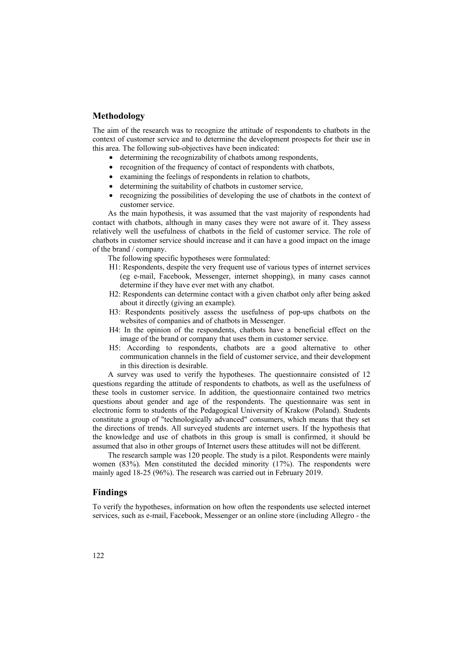### **Methodology**

The aim of the research was to recognize the attitude of respondents to chatbots in the context of customer service and to determine the development prospects for their use in this area. The following sub-objectives have been indicated:

- determining the recognizability of chatbots among respondents,
- recognition of the frequency of contact of respondents with chatbots,
- examining the feelings of respondents in relation to chatbots,
- determining the suitability of chatbots in customer service,
- recognizing the possibilities of developing the use of chatbots in the context of customer service.

As the main hypothesis, it was assumed that the vast majority of respondents had contact with chatbots, although in many cases they were not aware of it. They assess relatively well the usefulness of chatbots in the field of customer service. The role of chatbots in customer service should increase and it can have a good impact on the image of the brand / company.

The following specific hypotheses were formulated:

- H1: Respondents, despite the very frequent use of various types of internet services (eg e-mail, Facebook, Messenger, internet shopping), in many cases cannot determine if they have ever met with any chatbot.
- H2: Respondents can determine contact with a given chatbot only after being asked about it directly (giving an example).
- H3: Respondents positively assess the usefulness of pop-ups chatbots on the websites of companies and of chatbots in Messenger.
- H4: In the opinion of the respondents, chatbots have a beneficial effect on the image of the brand or company that uses them in customer service.
- H5: According to respondents, chatbots are a good alternative to other communication channels in the field of customer service, and their development in this direction is desirable.

A survey was used to verify the hypotheses. The questionnaire consisted of 12 questions regarding the attitude of respondents to chatbots, as well as the usefulness of these tools in customer service. In addition, the questionnaire contained two metrics questions about gender and age of the respondents. The questionnaire was sent in electronic form to students of the Pedagogical University of Krakow (Poland). Students constitute a group of "technologically advanced" consumers, which means that they set the directions of trends. All surveyed students are internet users. If the hypothesis that the knowledge and use of chatbots in this group is small is confirmed, it should be assumed that also in other groups of Internet users these attitudes will not be different.

The research sample was 120 people. The study is a pilot. Respondents were mainly women (83%). Men constituted the decided minority (17%). The respondents were mainly aged 18-25 (96%). The research was carried out in February 2019.

## **Findings**

To verify the hypotheses, information on how often the respondents use selected internet services, such as e-mail, Facebook, Messenger or an online store (including Allegro - the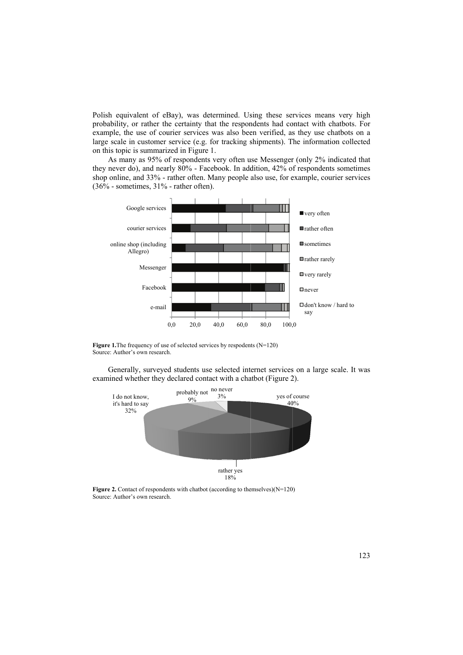Polish equivalent of eBay), was determined. Using these services means very high probability, or rather the certainty that the respondents had contact with chatbots. For example, the use of courier services was also been verified, as they use chatbots on a large scale in customer service (e.g. for tracking shipments). The information collected on this top ic is summari zed in Figure 1.

As many as 95% of respondents very often use Messenger (only 2% indicated that they never do), and nearly 80% - Facebook. In addition, 42% of respondents sometimes shop online, and 33% - rather often. Many people also use, for example, courier services  $(36\%$  - sometimes,  $31\%$  - rather often).



**Figure 1.** The frequency of use of selected services by respodents  $(N=120)$ Source: Author's own research.

Generally, surveyed students use selected internet services on a large scale. It was examined whether they declared contact with a chatbot (Figure 2).



**Figure 2.** Contact of respondents with chatbot (according to themselves) $(N=120)$ Source: Author's own research.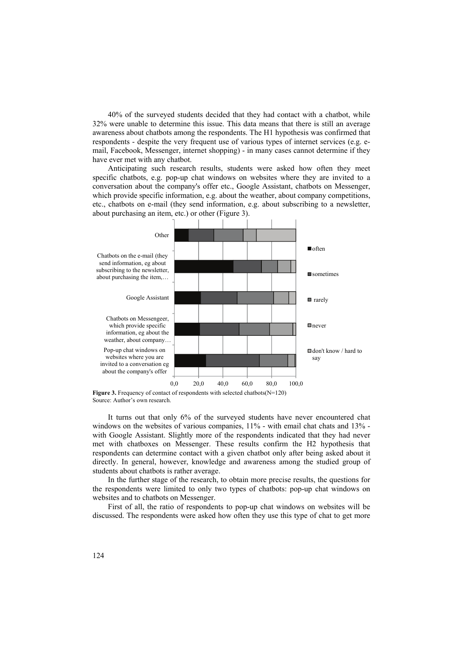40% of the surveyed students decided that they had contact with a chatbot, while 32% were unable to determine this issue. This data means that there is still an average awareness about chatbots among the respondents. The H1 hypothesis was confirmed that respondents - despite the very frequent use of various types of internet services (e.g. email, Facebook, Messenger, internet shopping) - in many cases cannot determine if they have ever met with any chatbot.

Anticipating such research results, students were asked how often they meet specific chatbots, e.g. pop-up chat windows on websites where they are invited to a conversation about the company's offer etc., Google Assistant, chatbots on Messenger, which provide specific information, e.g. about the weather, about company competitions, etc., chatbots on e-mail (they send information, e.g. about subscribing to a newsletter, about purchasing an item, etc.) or other (Figure 3).



It turns out that only 6% of the surveyed students have never encountered chat windows on the websites of various companies, 11% - with email chat chats and 13% with Google Assistant. Slightly more of the respondents indicated that they had never met with chatboxes on Messenger. These results confirm the H2 hypothesis that respondents can determine contact with a given chatbot only after being asked about it directly. In general, however, knowledge and awareness among the studied group of students about chatbots is rather average.

In the further stage of the research, to obtain more precise results, the questions for the respondents were limited to only two types of chatbots: pop-up chat windows on websites and to chatbots on Messenger.

First of all, the ratio of respondents to pop-up chat windows on websites will be discussed. The respondents were asked how often they use this type of chat to get more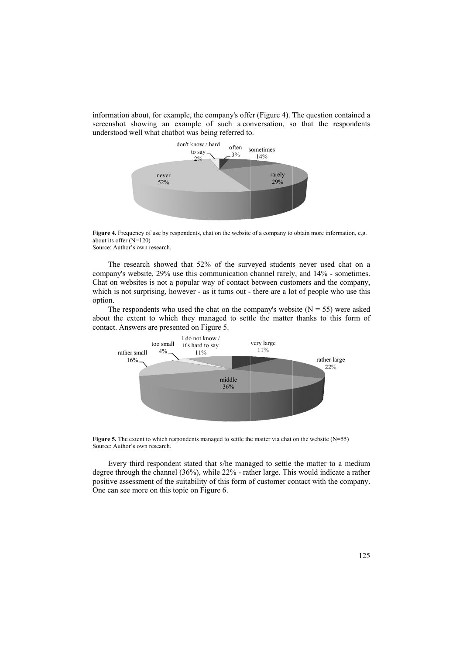information about, for example, the company's offer (Figure 4). The question contained a screenshot showing an example of such a conversation, so that the respondents understood well what chatbot was being referred to.



Figure 4. Frequency of use by respondents, chat on the website of a company to obtain more information, e.g. about its offe r (N=120)

Source: Author's own research.

The research showed that 52% of the surveyed students never used chat on a company's website, 29% use this communication channel rarely, and 14% - sometimes. Chat on websites is not a popular way of contact between customers and the company, which is not surprising, however - as it turns out - there are a lot of people who use this option.

The respondents who used the chat on the company's website  $(N = 55)$  were asked about the extent to which they managed to settle the matter thanks to this form of contact. Answers are presented on Figure 5.



**Figure 5.** The extent to which respondents managed to settle the matter via chat on the website  $(N=55)$ Source: Author's own research.

Every third respondent stated that s/he managed to settle the matter to a medium degree through the channel (36%), while 22% - rather large. This would indicate a rather positive assessment of the suitability of this form of customer contact with the company. One can see more on this topic on Figure 6.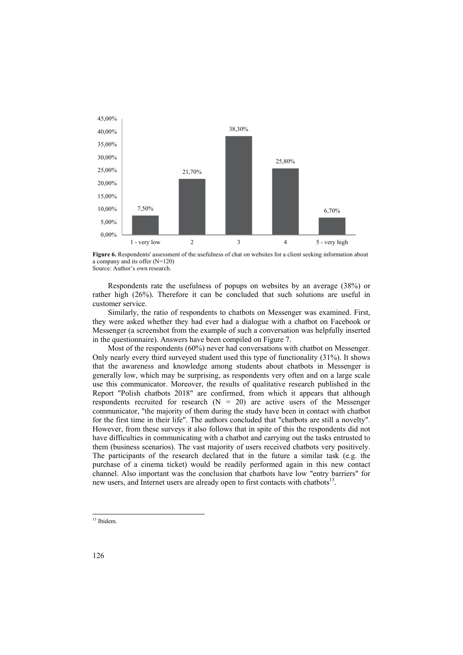

**Figure 6.** Respondents' assessment of the usefulness of chat on websites for a client seeking information about a company and its offer (N=120) Source: Author's own research.

Respondents rate the usefulness of popups on websites by an average (38%) or rather high (26%). Therefore it can be concluded that such solutions are useful in customer service.

Similarly, the ratio of respondents to chatbots on Messenger was examined. First, they were asked whether they had ever had a dialogue with a chatbot on Facebook or Messenger (a screenshot from the example of such a conversation was helpfully inserted in the questionnaire). Answers have been compiled on Figure 7.

Most of the respondents (60%) never had conversations with chatbot on Messenger. Only nearly every third surveyed student used this type of functionality (31%). It shows that the awareness and knowledge among students about chatbots in Messenger is generally low, which may be surprising, as respondents very often and on a large scale use this communicator. Moreover, the results of qualitative research published in the Report "Polish chatbots 2018" are confirmed, from which it appears that although respondents recruited for research  $(N = 20)$  are active users of the Messenger communicator, "the majority of them during the study have been in contact with chatbot for the first time in their life". The authors concluded that "chatbots are still a novelty". However, from these surveys it also follows that in spite of this the respondents did not have difficulties in communicating with a chatbot and carrying out the tasks entrusted to them (business scenarios). The vast majority of users received chatbots very positively. The participants of the research declared that in the future a similar task (e.g. the purchase of a cinema ticket) would be readily performed again in this new contact channel. Also important was the conclusion that chatbots have low "entry barriers" for new users, and Internet users are already open to first contacts with chatbots<sup>13</sup>.

<sup>&</sup>lt;sup>13</sup> Ibidem.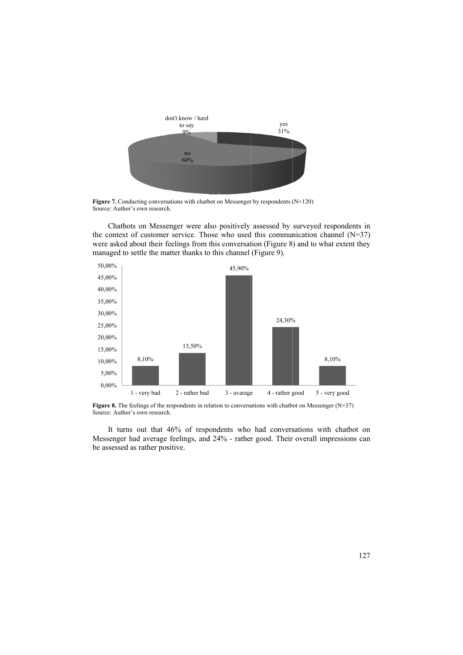

**Figure 7.** Conducting conversations with chatbot on Messenger by respondents  $(N=120)$ Source: Author's own research.

Chatbots on Messenger were also positively assessed by surveyed respondents in the context of customer service. Those who used this communication channel  $(N=37)$ were asked about their feelings from this conversation (Figure 8) and to what extent they managed to settle the matter thanks to this channel (Figure 9).



**Figure 8.** The feelings of the respondents in relation to conversations with chatbot on Messenger  $(N=37)$ Source: Author's own research.

It turns out that 46% of respondents who had conversations with chatbot on Messenger had average feelings, and 24% - rather good. Their overall impressions can be assessed as rather positive.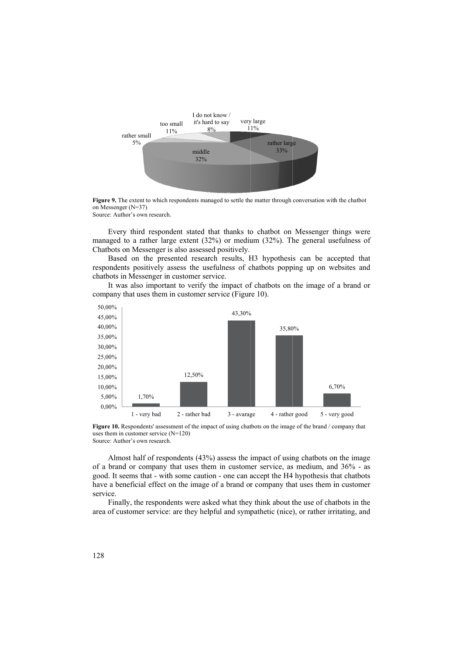

Figure 9. The extent to which respondents managed to settle the matter through conversation with the chatbot on Messenger (N=37) Source: Author's own research.

Every third respondent stated that thanks to chatbot on Messenger things were managed to a rather large extent (32%) or medium (32%). The general usefulness of Chatbots on Messenger is also assessed positively.

Based on the presented research results, H3 hypothesis can be accepted that respondents positively assess the usefulness of chatbots popping up on websites and chatbots in Messenger in customer service.

It was also important to verify the impact of chatbots on the image of a brand or company that uses them in customer service (Figure 10).



Figure 10. Respondents' assessment of the impact of using chatbots on the image of the brand / company that uses them in customer service (N=120) Source: Author's own research.

Almost half of respondents (43%) assess the impact of using chatbots on the image of a brand or company that uses them in customer service, as medium, and 36% - as good. It seems that - with some caution - one can accept the H4 hypothesis that chatbots have a beneficial effect on the image of a brand or company that uses them in customer service.

Finally, the respondents were asked what they think about the use of chatbots in the area of customer service: are they helpful and sympathetic (nice), or rather irritating, and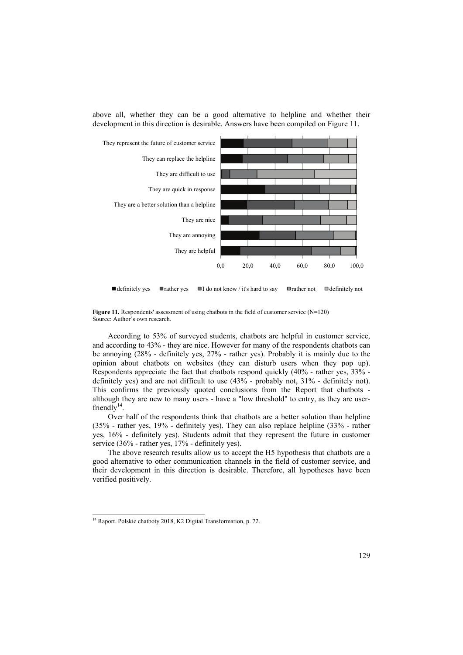



 $\Box$  definitely yes  $\Box$  rather yes  $\Box$  I do not know / it's hard to say  $\Box$  rather not  $\Box$  definitely not



According to 53% of surveyed students, chatbots are helpful in customer service, and according to 43% - they are nice. However for many of the respondents chatbots can be annoying (28% - definitely yes, 27% - rather yes). Probably it is mainly due to the opinion about chatbots on websites (they can disturb users when they pop up). Respondents appreciate the fact that chatbots respond quickly (40% - rather yes, 33% definitely yes) and are not difficult to use (43% - probably not, 31% - definitely not). This confirms the previously quoted conclusions from the Report that chatbots although they are new to many users - have a "low threshold" to entry, as they are userfriendly $14$ .

Over half of the respondents think that chatbots are a better solution than helpline (35% - rather yes, 19% - definitely yes). They can also replace helpline (33% - rather yes, 16% - definitely yes). Students admit that they represent the future in customer service (36% - rather yes, 17% - definitely yes).

The above research results allow us to accept the H5 hypothesis that chatbots are a good alternative to other communication channels in the field of customer service, and their development in this direction is desirable. Therefore, all hypotheses have been verified positively.

<sup>&</sup>lt;sup>14</sup> Raport. Polskie chatboty 2018, K2 Digital Transformation, p. 72.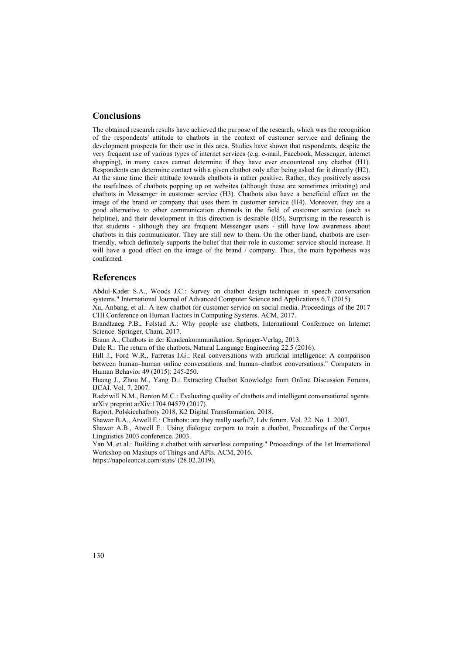## **Conclusions**

The obtained research results have achieved the purpose of the research, which was the recognition of the respondents' attitude to chatbots in the context of customer service and defining the development prospects for their use in this area. Studies have shown that respondents, despite the very frequent use of various types of internet services (e.g. e-mail, Facebook, Messenger, internet shopping), in many cases cannot determine if they have ever encountered any chatbot (H1). Respondents can determine contact with a given chatbot only after being asked for it directly (H2). At the same time their attitude towards chatbots is rather positive. Rather, they positively assess the usefulness of chatbots popping up on websites (although these are sometimes irritating) and chatbots in Messenger in customer service (H3). Chatbots also have a beneficial effect on the image of the brand or company that uses them in customer service (H4). Moreover, they are a good alternative to other communication channels in the field of customer service (such as helpline), and their development in this direction is desirable (H5). Surprising in the research is that students - although they are frequent Messenger users - still have low awareness about chatbots in this communicator. They are still new to them. On the other hand, chatbots are userfriendly, which definitely supports the belief that their role in customer service should increase. It will have a good effect on the image of the brand / company. Thus, the main hypothesis was confirmed.

#### **References**

Abdul-Kader S.A., Woods J.C.: Survey on chatbot design techniques in speech conversation systems." International Journal of Advanced Computer Science and Applications 6.7 (2015).

Xu, Anbang, et al.: A new chatbot for customer service on social media. Proceedings of the 2017 CHI Conference on Human Factors in Computing Systems. ACM, 2017.

Brandtzaeg P.B., Følstad A.: Why people use chatbots, International Conference on Internet Science. Springer, Cham, 2017.

Braun A., Chatbots in der Kundenkommunikation. Springer-Verlag, 2013.

Dale R.: The return of the chatbots, Natural Language Engineering 22.5 (2016).

Hill J., Ford W.R., Farreras I.G.: Real conversations with artificial intelligence: A comparison between human–human online conversations and human–chatbot conversations." Computers in Human Behavior 49 (2015): 245-250.

Huang J., Zhou M., Yang D.: Extracting Chatbot Knowledge from Online Discussion Forums, IJCAI. Vol. 7. 2007.

Radziwill N.M., Benton M.C.: Evaluating quality of chatbots and intelligent conversational agents. arXiv preprint arXiv:1704.04579 (2017).

Raport. Polskiechatboty 2018, K2 Digital Transformation, 2018.

Shawar B.A., Atwell E.: Chatbots: are they really useful?, Ldv forum. Vol. 22. No. 1. 2007.

Shawar A.B., Atwell E.: Using dialogue corpora to train a chatbot, Proceedings of the Corpus Linguistics 2003 conference. 2003.

Yan M. et al.: Building a chatbot with serverless computing." Proceedings of the 1st International Workshop on Mashups of Things and APIs. ACM, 2016.

https://napoleoncat.com/stats/ (28.02.2019).